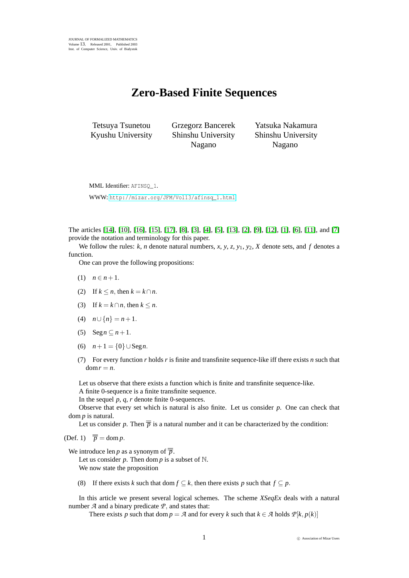## **Zero-Based Finite Sequences**

Tetsuya Tsunetou Kyushu University Grzegorz Bancerek Shinshu University Nagano

Yatsuka Nakamura Shinshu University Nagano

MML Identifier: AFINSO 1.

WWW: [http://mizar.org/JFM/Vol13/afinsq\\_1.html](http://mizar.org/JFM/Vol13/afinsq_1.html)

The articles [\[14\]](#page-4-0), [\[10\]](#page-4-1), [\[16\]](#page-4-2), [\[15\]](#page-4-3), [\[17\]](#page-4-4), [\[8\]](#page-4-5), [\[3\]](#page-3-0), [\[4\]](#page-3-1), [\[5\]](#page-3-2), [\[13\]](#page-4-6), [\[2\]](#page-3-3), [\[9\]](#page-4-7), [\[12\]](#page-4-8), [\[1\]](#page-3-4), [\[6\]](#page-3-5), [\[11\]](#page-4-9), and [\[7\]](#page-3-6) provide the notation and terminology for this paper.

We follow the rules:  $k$ ,  $n$  denote natural numbers,  $x$ ,  $y$ ,  $z$ ,  $y$ <sub>1</sub>,  $y$ <sub>2</sub>,  $X$  denote sets, and  $f$  denotes a function.

One can prove the following propositions:

- (1)  $n \in n+1$ .
- (2) If  $k \leq n$ , then  $k = k \cap n$ .
- (3) If  $k = k \cap n$ , then  $k \leq n$ .
- (4)  $n \cup \{n\} = n+1$ .
- (5)  $\text{Seg } n \subset n+1$ .
- (6)  $n+1 = \{0\} \cup \text{Seg } n$ .
- (7) For every function *r* holds *r* is finite and transfinite sequence-like iff there exists *n* such that  $dom r = n$ .

Let us observe that there exists a function which is finite and transfinite sequence-like.

A finite 0-sequence is a finite transfinite sequence.

In the sequel *p*, *q*, *r* denote finite 0-sequences.

Observe that every set which is natural is also finite. Let us consider *p*. One can check that dom *p* is natural.

Let us consider *p*. Then  $\bar{\bar{p}}$  is a natural number and it can be characterized by the condition:

(Def. 1)  $\overline{\overline{p}} = \text{dom } p$ .

We introduce len *p* as a synonym of  $\overline{p}$ .

Let us consider  $p$ . Then dom  $p$  is a subset of  $\mathbb{N}$ . We now state the proposition

(8) If there exists *k* such that dom  $f \subseteq k$ , then there exists *p* such that  $f \subseteq p$ .

In this article we present several logical schemes. The scheme *XSeqEx* deals with a natural number  $A$  and a binary predicate  $P$ , and states that:

There exists *p* such that dom  $p = A$  and for every *k* such that  $k \in A$  holds  $P[k, p(k)]$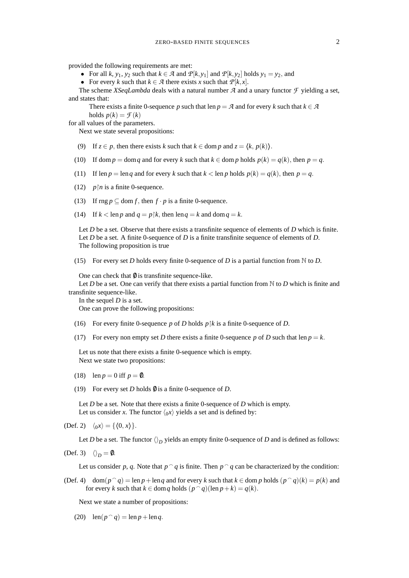provided the following requirements are met:

- For all *k*,  $y_1$ ,  $y_2$  such that  $k \in \mathcal{A}$  and  $\mathcal{P}[k, y_1]$  and  $\mathcal{P}[k, y_2]$  holds  $y_1 = y_2$ , and
- For every *k* such that  $k \in \mathcal{A}$  there exists *x* such that  $\mathcal{P}[k, x]$ .

The scheme *XSeqLambda* deals with a natural number *A* and a unary functor *F* yielding a set, and states that:

There exists a finite 0-sequence *p* such that len  $p = A$  and for every *k* such that  $k \in A$ holds  $p(k) = \mathcal{F}(k)$ 

for all values of the parameters.

Next we state several propositions:

- (9) If  $z \in p$ , then there exists *k* such that  $k \in \text{dom } p$  and  $z = \langle k, p(k) \rangle$ .
- (10) If dom  $p = \text{dom } q$  and for every  $k$  such that  $k \in \text{dom } p$  holds  $p(k) = q(k)$ , then  $p = q$ .
- (11) If len  $p = \text{len } q$  and for every  $k$  such that  $k < \text{len } p$  holds  $p(k) = q(k)$ , then  $p = q$ .
- (12)  $p \upharpoonright n$  is a finite 0-sequence.
- (13) If  $\text{rng } p \subseteq \text{dom } f$ , then  $f \cdot p$  is a finite 0-sequence.
- (14) If  $k < \text{len } p$  and  $q = p \upharpoonright k$ , then  $\text{len } q = k$  and  $\text{dom } q = k$ .

Let *D* be a set. Observe that there exists a transfinite sequence of elements of *D* which is finite. Let *D* be a set. A finite 0-sequence of *D* is a finite transfinite sequence of elements of *D*. The following proposition is true

(15) For every set *D* holds every finite 0-sequence of *D* is a partial function from N to *D*.

One can check that  $\theta$  is transfinite sequence-like.

Let *D* be a set. One can verify that there exists a partial function from  $\mathbb N$  to *D* which is finite and transfinite sequence-like.

In the sequel *D* is a set.

One can prove the following propositions:

- (16) For every finite 0-sequence *p* of *D* holds *pk* is a finite 0-sequence of *D*.
- (17) For every non empty set *D* there exists a finite 0-sequence *p* of *D* such that len  $p = k$ .

Let us note that there exists a finite 0-sequence which is empty. Next we state two propositions:

- (18) len  $p = 0$  iff  $p = 0$ .
- (19) For every set *D* holds  $\emptyset$  is a finite 0-sequence of *D*.

Let *D* be a set. Note that there exists a finite 0-sequence of *D* which is empty. Let us consider *x*. The functor  $\langle 0, x \rangle$  yields a set and is defined by:

(Def. 2)  $\langle 0x \rangle = {\langle 0, x \rangle}.$ 

Let *D* be a set. The functor  $\langle \rangle_D$  yields an empty finite 0-sequence of *D* and is defined as follows:

(Def. 3)  $\langle \rangle_D = \emptyset$ .

Let us consider *p*, *q*. Note that  $p \cap q$  is finite. Then  $p \cap q$  can be characterized by the condition:

(Def. 4) dom $(p \cap q) = \text{len } p + \text{len } q$  and for every *k* such that  $k \in \text{dom } p$  holds  $(p \cap q)(k) = p(k)$  and for every *k* such that  $k \in \text{dom } q$  holds  $(p \cap q)(\text{len } p + k) = q(k)$ .

Next we state a number of propositions:

(20)  $\operatorname{len}(p \cap q) = \operatorname{len} p + \operatorname{len} q$ .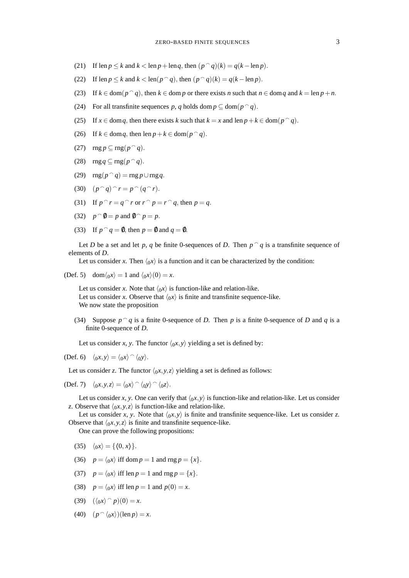- (21) If  $\operatorname{len} p \le k$  and  $k < \operatorname{len} p + \operatorname{len} q$ , then  $(p \cap q)(k) = q(k \operatorname{len} p)$ .
- (22) If len  $p \le k$  and  $k < \text{len}(p \cap q)$ , then  $(p \cap q)(k) = q(k \text{len } p)$ .
- (23) If  $k \in \text{dom}(p \cap q)$ , then  $k \in \text{dom } p$  or there exists *n* such that  $n \in \text{dom } q$  and  $k = \text{len } p + n$ .
- (24) For all transfinite sequences *p*, *q* holds dom  $p \subseteq \text{dom}(p \cap q)$ .
- (25) If  $x \in \text{dom } q$ , then there exists  $k$  such that  $k = x$  and len  $p + k \in \text{dom}(p \cap q)$ .
- (26) If  $k \in \text{dom } q$ , then  $\text{len } p + k \in \text{dom}(p \cap q)$ .
- (27)  $\text{rng } p \subseteq \text{rng}(p \cap q)$ .
- (28)  $\text{rng }q \subseteq \text{rng}(p \cap q)$ .
- (29)  $\text{rng}(p \cap q) = \text{rng } p \cup \text{rng } q$ .

$$
(30) \quad (p \cap q) \cap r = p \cap (q \cap r).
$$

- (31) If  $p \cap r = q \cap r$  or  $r \cap p = r \cap q$ , then  $p = q$ .
- (32)  $p^{\frown} \emptyset = p$  and  $\emptyset^{\frown} p = p$ .
- (33) If  $p \cap q = \emptyset$ , then  $p = \emptyset$  and  $q = \emptyset$ .

Let *D* be a set and let *p*, *q* be finite 0-sequences of *D*. Then  $p \cap q$  is a transfinite sequence of elements of *D*.

Let us consider *x*. Then  $\langle 0x \rangle$  is a function and it can be characterized by the condition:

(Def. 5) dom $\langle 0x \rangle = 1$  and  $\langle 0x \rangle(0) = x$ .

Let us consider *x*. Note that  $\langle 0x \rangle$  is function-like and relation-like. Let us consider *x*. Observe that  $\langle 0x \rangle$  is finite and transfinite sequence-like. We now state the proposition

(34) Suppose  $p \cap q$  is a finite 0-sequence of *D*. Then *p* is a finite 0-sequence of *D* and *q* is a finite 0-sequence of *D*.

Let us consider *x*, *y*. The functor  $\langle 0x, y \rangle$  yielding a set is defined by:

(Def. 6)  $\langle 0x, y \rangle = \langle 0x \rangle \cap \langle 0y \rangle$ .

Let us consider *z*. The functor  $\langle 0x, y, z \rangle$  yielding a set is defined as follows:

(Def. 7)  $\langle 0x, y, z \rangle = \langle 0x \rangle \cap \langle 0y \rangle \cap \langle 0z \rangle.$ 

Let us consider *x*, *y*. One can verify that  $\langle 0x, y \rangle$  is function-like and relation-like. Let us consider *z*. Observe that  $\langle 0x, y, z \rangle$  is function-like and relation-like.

Let us consider *x*, *y*. Note that  $\langle 0x, y \rangle$  is finite and transfinite sequence-like. Let us consider *z*. Observe that  $\langle 0x, y, z \rangle$  is finite and transfinite sequence-like.

One can prove the following propositions:

- (35)  $\langle 0x \rangle = {\langle 0, x \rangle}.$
- (36)  $p = \langle 0, x \rangle$  iff dom  $p = 1$  and rng  $p = \{x\}.$
- (37)  $p = \langle 0x \rangle$  iff len  $p = 1$  and rng  $p = \{x\}.$
- (38)  $p = \langle 0, x \rangle$  iff len  $p = 1$  and  $p(0) = x$ .
- (39)  $({\langle_0 x \rangle} \cap p)(0) = x.$
- (40)  $(p \cap \langle 0x \rangle)(\text{len } p) = x.$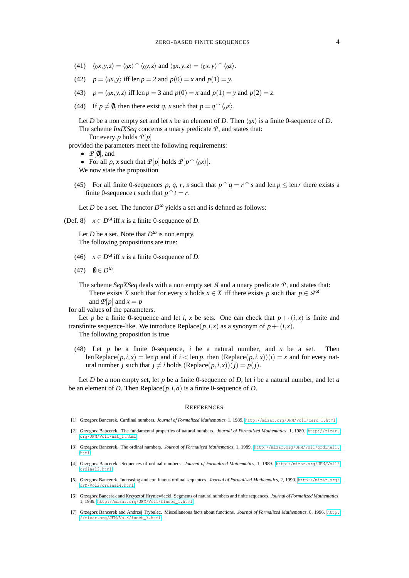- (41)  $\langle 0x, y, z \rangle = \langle 0x \rangle \cap \langle 0y, z \rangle$  and  $\langle 0x, y, z \rangle = \langle 0x, y \rangle \cap \langle 0z \rangle$ .
- (42)  $p = \langle 0, x, y \rangle$  iff len  $p = 2$  and  $p(0) = x$  and  $p(1) = y$ .
- (43)  $p = \langle 0x, y, z \rangle$  iff len  $p = 3$  and  $p(0) = x$  and  $p(1) = y$  and  $p(2) = z$ .
- (44) If  $p \neq 0$ , then there exist *q*, *x* such that  $p = q^{\frown} \langle 0x \rangle$ .

Let *D* be a non empty set and let *x* be an element of *D*. Then  $\langle 0x \rangle$  is a finite 0-sequence of *D*. The scheme *IndXSeq* concerns a unary predicate *P*, and states that: For every *p* holds *P*[*p*]

provided the parameters meet the following requirements:

- $\mathcal{P}[\emptyset]$ , and
- For all *p*, *x* such that  $P[p]$  holds  $P[p \cap \langle 0x \rangle]$ .

We now state the proposition

(45) For all finite 0-sequences p, q, r, s such that  $p \cap q = r \cap s$  and len  $p \le \text{len } r$  there exists a finite 0-sequence *t* such that  $p \hat{i} = r$ .

Let *D* be a set. The functor  $D^{\omega}$  yields a set and is defined as follows:

(Def. 8)  $x \in D^{\omega}$  iff *x* is a finite 0-sequence of *D*.

Let *D* be a set. Note that  $D^{\omega}$  is non empty. The following propositions are true:

- (46)  $x \in D^{\omega}$  iff *x* is a finite 0-sequence of *D*.
- (47)  $\qquad \theta \in D^{\omega}$ .

The scheme *SepXSeq* deals with a non empty set *A* and a unary predicate *P*, and states that: There exists *X* such that for every *x* holds  $x \in X$  iff there exists *p* such that  $p \in \mathcal{A}^{\omega}$ and  $P[p]$  and  $x = p$ 

for all values of the parameters.

Let *p* be a finite 0-sequence and let *i*, *x* be sets. One can check that  $p + (i, x)$  is finite and transfinite sequence-like. We introduce  $\text{Replace}(p, i, x)$  as a synonym of  $p + (i, x)$ .

The following proposition is true

(48) Let *p* be a finite 0-sequence, *i* be a natural number, and *x* be a set. Then len Replace( $p, i, x$ ) = len  $p$  and if  $i < \text{len } p$ , then  $(\text{Replace}(p, i, x))(i) = x$  and for every natural number *j* such that  $j \neq i$  holds (Replace( $p, i, x$ ))( $j$ ) =  $p(j)$ .

Let *D* be a non empty set, let *p* be a finite 0-sequence of *D*, let *i* be a natural number, and let *a* be an element of *D*. Then Replace( $p$ , *i*, *a*) is a finite 0-sequence of *D*.

## **REFERENCES**

- <span id="page-3-4"></span>[1] Grzegorz Bancerek. Cardinal numbers. *Journal of Formalized Mathematics*, 1, 1989. [http://mizar.org/JFM/Vol1/card\\_1.html](http://mizar.org/JFM/Vol1/card_1.html).
- <span id="page-3-3"></span>[2] Grzegorz Bancerek. The fundamental properties of natural numbers. *Journal of Formalized Mathematics*, 1, 1989. [http://mizar.](http://mizar.org/JFM/Vol1/nat_1.html) [org/JFM/Vol1/nat\\_1.html](http://mizar.org/JFM/Vol1/nat_1.html).
- <span id="page-3-0"></span>[3] Grzegorz Bancerek. The ordinal numbers. *Journal of Formalized Mathematics*, 1, 1989. [http://mizar.org/JFM/Vol1/ordinal1.](http://mizar.org/JFM/Vol1/ordinal1.html) [html](http://mizar.org/JFM/Vol1/ordinal1.html).
- <span id="page-3-1"></span>[4] Grzegorz Bancerek. Sequences of ordinal numbers. *Journal of Formalized Mathematics*, 1, 1989. [http://mizar.org/JFM/Vol1/](http://mizar.org/JFM/Vol1/ordinal2.html) [ordinal2.html](http://mizar.org/JFM/Vol1/ordinal2.html).
- <span id="page-3-2"></span>[5] Grzegorz Bancerek. Increasing and continuous ordinal sequences. *Journal of Formalized Mathematics*, 2, 1990. [http://mizar.org/](http://mizar.org/JFM/Vol2/ordinal4.html) [JFM/Vol2/ordinal4.html](http://mizar.org/JFM/Vol2/ordinal4.html).
- <span id="page-3-5"></span>[6] Grzegorz Bancerek and Krzysztof Hryniewiecki. Segments of natural numbers and finite sequences. *Journal of Formalized Mathematics*, 1, 1989. [http://mizar.org/JFM/Vol1/finseq\\_1.html](http://mizar.org/JFM/Vol1/finseq_1.html).
- <span id="page-3-6"></span>[7] Grzegorz Bancerek and Andrzej Trybulec. Miscellaneous facts about functions. *Journal of Formalized Mathematics*, 8, 1996. [http:](http://mizar.org/JFM/Vol8/funct_7.html) [//mizar.org/JFM/Vol8/funct\\_7.html](http://mizar.org/JFM/Vol8/funct_7.html).